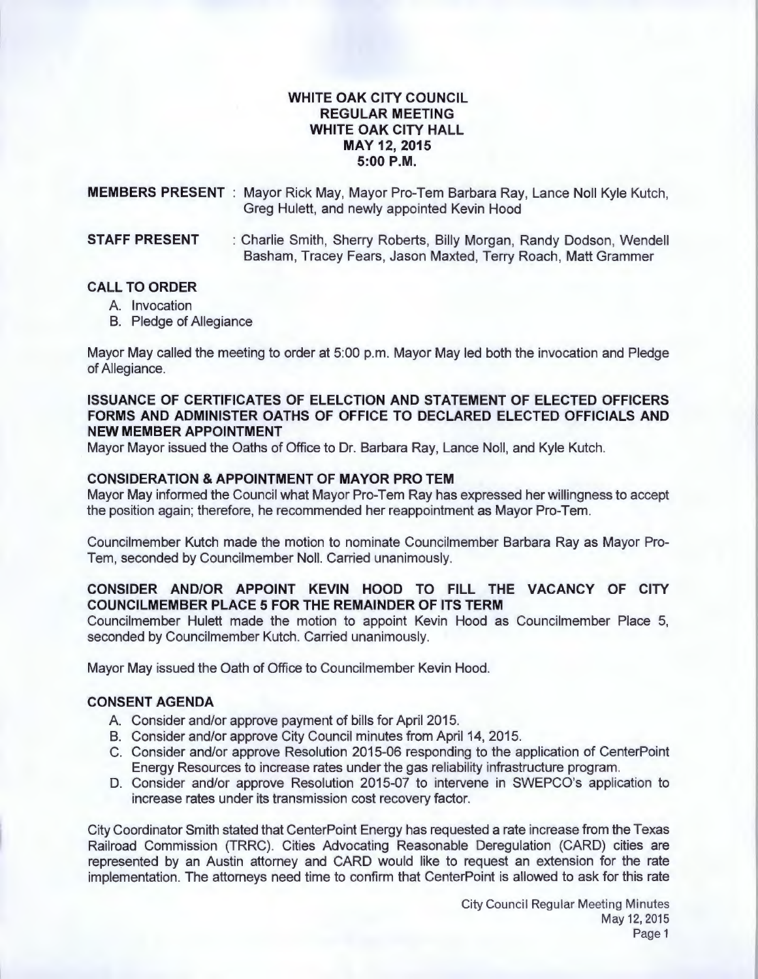# **WHITE OAK CITY COUNCIL REGULAR MEETING WHITE OAK CITY HALL MAY 12,2015 5:00P.M.**

**MEMBERS PRESENT** : Mayor Rick May, Mayor Pro-Tem Barbara Ray, Lance Noll Kyle Kutch, Greg Hulett, and newly appointed Kevin Hood

**STAFF PRESENT** : Charlie Smith, Sherry Roberts, Billy Morgan, Randy Dodson, Wendell Basham, Tracey Fears, Jason Maxted, Terry Roach, Matt Grammer

#### **CALL TO ORDER**

- A. Invocation
- B. Pledge of Allegiance

Mayor May called the meeting to order at 5:00 p.m. Mayor May led both the invocation and Pledge of Allegiance.

# **ISSUANCE OF CERTIFICATES OF ELELCTION AND STATEMENT OF ELECTED OFFICERS FORMS AND ADMINISTER OATHS OF OFFICE TO DECLARED ELECTED OFFICIALS AND NEW MEMBER APPOINTMENT**

Mayor Mayor issued the Oaths of Office to Dr. Barbara Ray, Lance Noll, and Kyle Kutch.

# **CONSIDERATION & APPOINTMENT OF MAYOR PROTEM**

Mayor May informed the Council what Mayor Pro-Tem Ray has expressed her willingness to accept the position again; therefore, he recommended her reappointment as Mayor Pro-Tem.

Councilmember Kutch made the motion to nominate Councilmember Barbara Ray as Mayor Pro-Tem, seconded by Councilmember Noll. Carried unanimously.

# **CONSIDER AND/OR APPOINT KEVIN HOOD TO FILL THE VACANCY OF CITY COUNCILMEMBER PLACE 5 FOR THE REMAINDER OF ITS TERM**

Councilmember Hulett made the motion to appoint Kevin Hood as Councilmember Place 5, seconded by Councilmember Kutch. Carried unanimously.

Mayor May issued the Oath of Office to Councilmember Kevin Hood.

# **CONSENT AGENDA**

- A. Consider and/or approve payment of bills for April 2015.
- B. Consider and/or approve City Council minutes from April 14, 2015.
- C. Consider and/or approve Resolution 2015-06 responding to the application of CenterPoint Energy Resources to increase rates under the gas reliability infrastructure program.
- D. Consider and/or approve Resolution 2015-07 to intervene in SWEPCO's application to increase rates under its transmission cost recovery factor.

City Coordinator Smith stated that CenterPoint Energy has requested a rate increase from the Texas Railroad Commission (TRRC). Cities Advocating Reasonable Deregulation (CARD) cities are represented by an Austin attorney and CARD would like to request an extension for the rate implementation. The attorneys need time to confirm that CenterPoint is allowed to ask for this rate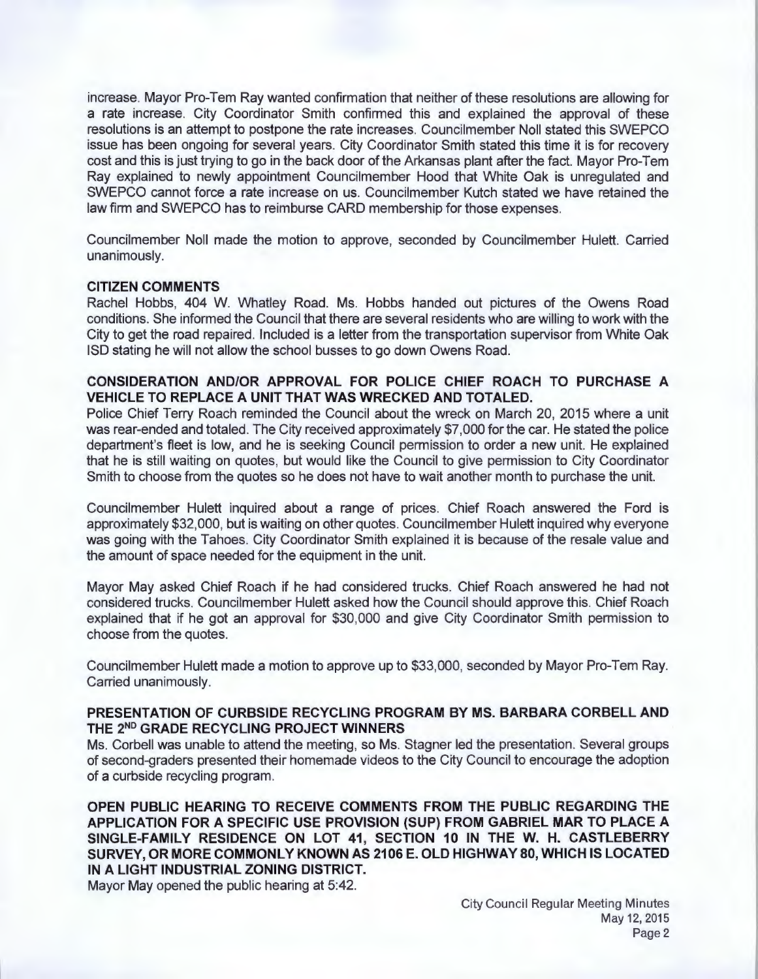increase. Mayor Pro-Tem Ray wanted confirmation that neither of these resolutions are allowing for a rate increase. City Coordinator Smith confirmed this and explained the approval of these resolutions is an attempt to postpone the rate increases. Councilmember Noll stated this SWEPCO issue has been ongoing for several years. City Coordinator Smith stated this time it is for recovery cost and this is just trying to go in the back door of the Arkansas plant after the fact. Mayor Pro-Tem Ray explained to newly appointment Councilmember Hood that White Oak is unregulated and SWEPCO cannot force a rate increase on us. Councilmember Kutch stated we have retained the law firm and SWEPCO has to reimburse CARD membership for those expenses.

Councilmember Noll made the motion to approve, seconded by Councilmember Hulett. Carried unanimously.

#### **CITIZEN COMMENTS**

Rachel Hobbs, 404 W. Whatley Road. Ms. Hobbs handed out pictures of the Owens Road conditions. She informed the Council that there are several residents who are willing to work with the City to get the road repaired. Included is a letter from the transportation supervisor from White Oak ISO stating he will not allow the school busses to go down Owens Road.

# **CONSIDERATION AND/OR APPROVAL FOR POLICE CHIEF ROACH TO PURCHASE A VEHICLE TO REPLACE A UNIT THAT WAS WRECKED AND TOTALED.**

Police Chief Terry Roach reminded the Council about the wreck on March 20, 2015 where a unit was rear-ended and totaled. The City received approximately \$7,000 for the car. He stated the police department's fleet is low, and he is seeking Council permission to order a new unit. He explained that he is still waiting on quotes, but would like the Council to give permission to City Coordinator Smith to choose from the quotes so he does not have to wait another month to purchase the unit.

Councilmember Hulett inquired about a range of prices. Chief Roach answered the Ford is approximately \$32,000, but is waiting on other quotes. Councilmember Hulett inquired why everyone was going with the Tahoes. City Coordinator Smith explained it is because of the resale value and the amount of space needed for the equipment in the unit.

Mayor May asked Chief Roach if he had considered trucks. Chief Roach answered he had not considered trucks. Councilmember Hulett asked how the Council should approve this. Chief Roach explained that if he got an approval for \$30,000 and give City Coordinator Smith permission to choose from the quotes.

Councilmember Hulett made a motion to approve up to \$33,000, seconded by Mayor Pro-Tem Ray. Carried unanimously.

#### **PRESENTATION OF CURBSIDE RECYCLING PROGRAM BY MS. BARBARA CORBELL AND THE** 2N° **GRADE RECYCLING PROJECT WINNERS**

Ms. Corbell was unable to attend the meeting, so Ms. Stagner led the presentation. Several groups of second-graders presented their homemade videos to the City Council to encourage the adoption of a curbside recycling program.

**OPEN PUBLIC HEARING TO RECEIVE COMMENTS FROM THE PUBLIC REGARDING THE APPLICATION FOR A SPECIFIC USE PROVISION (SUP) FROM GABRIEL MAR TO PLACE A SINGLE-FAMILY RESIDENCE ON LOT 41 , SECTION 10 IN THE W. H. CASTLEBERRY SURVEY, OR MORE COMMONLY KNOWN AS 2106 E. OLD HIGHWAY 80, WHICH IS LOCATED IN A LIGHT INDUSTRIAL ZONING DISTRICT.** 

Mayor May opened the public hearing at 5:42.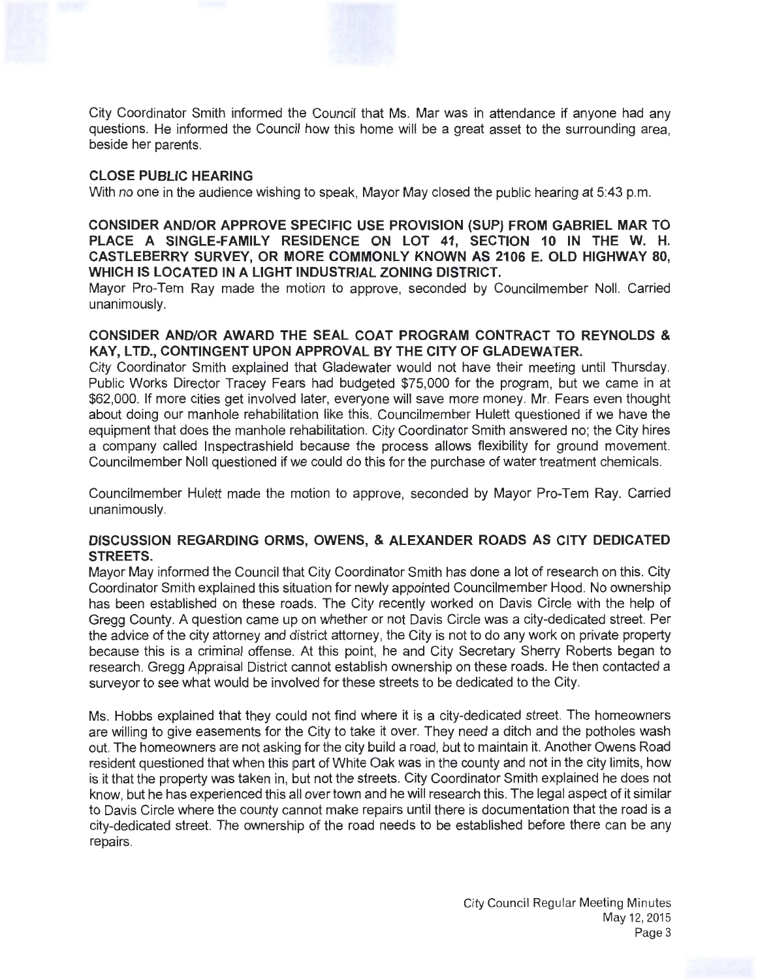City Coordinator Smith informed the Council that Ms. Mar was in attendance if anyone had any questions. He informed the Council how this home will be a great asset to the surrounding area, beside her parents.

# **CLOSE PUBLIC HEARING**

With no one in the audience wishing to speak, Mayor May closed the public hearing at 5:43 p.m.

**CONSIDER AND/OR APPROVE SPECIFIC USE PROVISION (SUP) FROM GABRIEL MAR TO PLACE A SINGLE-FAMILY RESIDENCE ON LOT 41, SECTION 10 IN THE W. H. CASTLEBERRY SURVEY, OR MORE COMMONLY KNOWN AS 2106 E. OLD HIGHWAY 80, WHICH IS LOCATED IN A LIGHT INDUSTRIAL ZONING DISTRICT.** 

Mayor Pro-Tem Ray made the motion to approve, seconded by Councilmember Noll. Carried unanimously.

# **CONSIDER AND/OR AWARD THE SEAL COAT PROGRAM CONTRACT TO REYNOLDS** & **KAY, LTD., CONTINGENT UPON APPROVAL BY THE CITY OF GLADEWATER.**

City Coordinator Smith explained that Gladewater would not have their meeting until Thursday. Public Works Director Tracey Fears had budgeted \$75,000 for the program, but we came in at \$62,000. If more cities get involved later, everyone will save more money. Mr. Fears even thought about doing our manhole rehabilitation like this. Councilmember Hulett questioned if we have the equipment that does the manhole rehabilitation. City Coordinator Smith answered no; the City hires a company called lnspectrashield because the process allows flexibility for ground movement. Councilmember Noll questioned if we could do this for the purchase of water treatment chemicals.

Councilmember Hulett made the motion to approve, seconded by Mayor Pro-Tem Ray. Carried unanimously.

# **DISCUSSION REGARDING ORMS, OWENS, & ALEXANDER ROADS AS CITY DEDICATED STREETS.**

Mayor May informed the Council that City Coordinator Smith has done a lot of research on this. City Coordinator Smith explained this situation for newly appointed Councilmember Hood. No ownership has been established on these roads. The City recently worked on Davis Circle with the help of Gregg County. A question came up on whether or not Davis Circle was a city-dedicated street. Per the advice of the city attorney and district attorney, the City is not to do any work on private property because this is a criminal offense. At this point, he and City Secretary Sherry Roberts began to research. Gregg Appraisal District cannot establish ownership on these roads. He then contacted a surveyor to see what would be involved for these streets to be dedicated to the City.

Ms. Hobbs explained that they could not find where it is a city-dedicated street. The homeowners are willing to give easements for the City to take it over. They need a ditch and the potholes wash out. The homeowners are not asking for the city build a road, but to maintain it. Another Owens Road resident questioned that when this part of White Oak was in the county and not in the city limits, how is it that the property was taken in, but not the streets. City Coordinator Smith explained he does not know, but he has experienced this all over town and he will research this. The legal aspect of it similar to Davis Circle where the county cannot make repairs until there is documentation that the road is a city-dedicated street. The ownership of the road needs to be established before there can be any repairs.